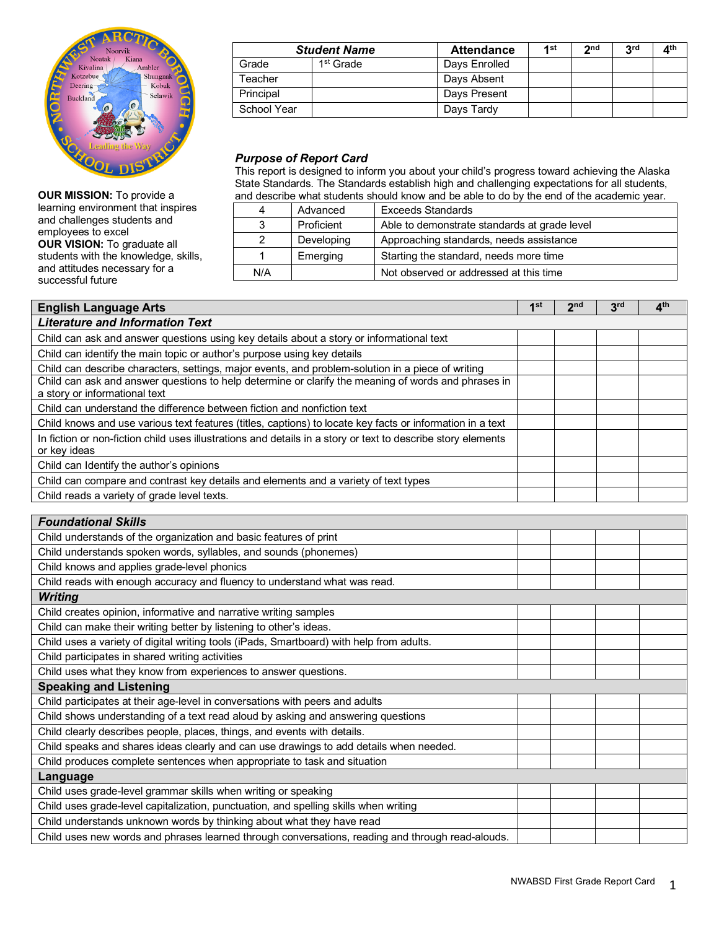

**OUR MISSION:** To provide a learning environment that inspires and challenges students and employees to excel **OUR VISION:** To graduate all students with the knowledge, skills, and attitudes necessary for a successful future

| <b>Student Name</b> |                       | <b>Attendance</b> | 4 st | າກd | <b>Red</b> | ⊿th |
|---------------------|-----------------------|-------------------|------|-----|------------|-----|
| Grade               | 1 <sup>st</sup> Grade | Days Enrolled     |      |     |            |     |
| Teacher             |                       | Days Absent       |      |     |            |     |
| Principal           |                       | Days Present      |      |     |            |     |
| School Year         |                       | Days Tardy        |      |     |            |     |

## *Purpose of Report Card*

This report is designed to inform you about your child's progress toward achieving the Alaska State Standards. The Standards establish high and challenging expectations for all students, and describe what students should know and be able to do by the end of the academic year.

| 4   | Advanced   | <b>Exceeds Standards</b>                     |
|-----|------------|----------------------------------------------|
| 3   | Proficient | Able to demonstrate standards at grade level |
|     | Developing | Approaching standards, needs assistance      |
|     | Emerging   | Starting the standard, needs more time       |
| N/A |            | Not observed or addressed at this time       |

| <b>English Language Arts</b>                                                                                 | 1 <sup>st</sup> | 2 <sub>nd</sub> | 3 <sup>rd</sup> | 4 <sup>th</sup> |
|--------------------------------------------------------------------------------------------------------------|-----------------|-----------------|-----------------|-----------------|
| <b>Literature and Information Text</b>                                                                       |                 |                 |                 |                 |
| Child can ask and answer questions using key details about a story or informational text                     |                 |                 |                 |                 |
| Child can identify the main topic or author's purpose using key details                                      |                 |                 |                 |                 |
| Child can describe characters, settings, major events, and problem-solution in a piece of writing            |                 |                 |                 |                 |
| Child can ask and answer questions to help determine or clarify the meaning of words and phrases in          |                 |                 |                 |                 |
| a story or informational text                                                                                |                 |                 |                 |                 |
| Child can understand the difference between fiction and nonfiction text                                      |                 |                 |                 |                 |
| Child knows and use various text features (titles, captions) to locate key facts or information in a text    |                 |                 |                 |                 |
| In fiction or non-fiction child uses illustrations and details in a story or text to describe story elements |                 |                 |                 |                 |
| or key ideas                                                                                                 |                 |                 |                 |                 |
| Child can Identify the author's opinions                                                                     |                 |                 |                 |                 |
| Child can compare and contrast key details and elements and a variety of text types                          |                 |                 |                 |                 |
| Child reads a variety of grade level texts.                                                                  |                 |                 |                 |                 |

| <b>Foundational Skills</b>                                                                       |  |  |
|--------------------------------------------------------------------------------------------------|--|--|
| Child understands of the organization and basic features of print                                |  |  |
| Child understands spoken words, syllables, and sounds (phonemes)                                 |  |  |
| Child knows and applies grade-level phonics                                                      |  |  |
| Child reads with enough accuracy and fluency to understand what was read.                        |  |  |
| <b>Writing</b>                                                                                   |  |  |
| Child creates opinion, informative and narrative writing samples                                 |  |  |
| Child can make their writing better by listening to other's ideas.                               |  |  |
| Child uses a variety of digital writing tools (iPads, Smartboard) with help from adults.         |  |  |
| Child participates in shared writing activities                                                  |  |  |
| Child uses what they know from experiences to answer questions.                                  |  |  |
| <b>Speaking and Listening</b>                                                                    |  |  |
| Child participates at their age-level in conversations with peers and adults                     |  |  |
| Child shows understanding of a text read aloud by asking and answering questions                 |  |  |
| Child clearly describes people, places, things, and events with details.                         |  |  |
| Child speaks and shares ideas clearly and can use drawings to add details when needed.           |  |  |
| Child produces complete sentences when appropriate to task and situation                         |  |  |
| Language                                                                                         |  |  |
| Child uses grade-level grammar skills when writing or speaking                                   |  |  |
| Child uses grade-level capitalization, punctuation, and spelling skills when writing             |  |  |
| Child understands unknown words by thinking about what they have read                            |  |  |
| Child uses new words and phrases learned through conversations, reading and through read-alouds. |  |  |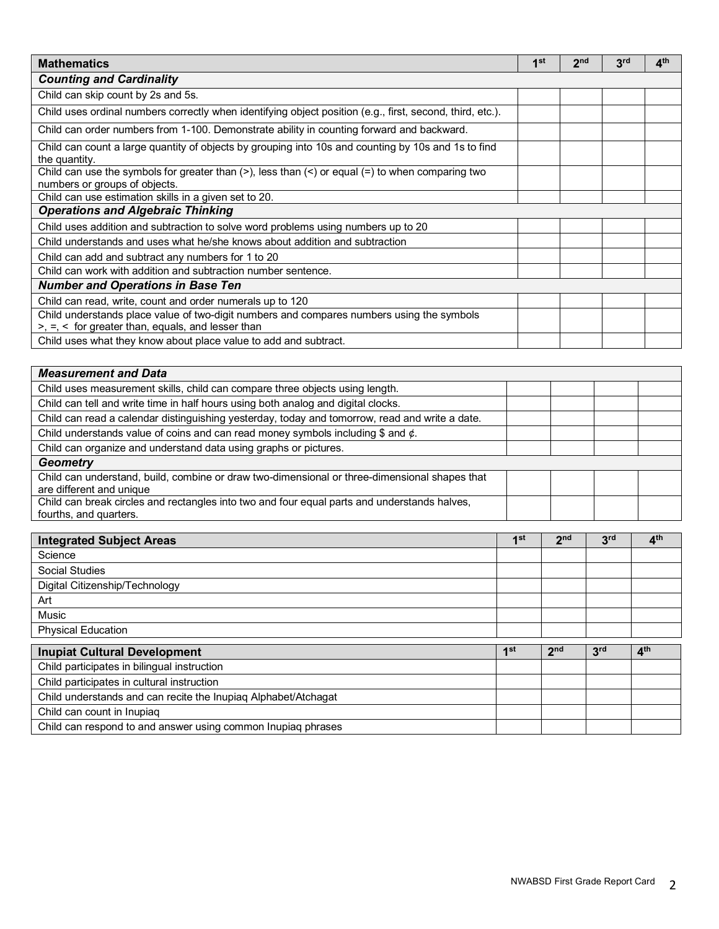| <b>Mathematics</b>                                                                                                                                       | 1 <sup>st</sup> | 2 <sub>nd</sub> | 3 <sup>rd</sup> | 4 <sup>th</sup> |
|----------------------------------------------------------------------------------------------------------------------------------------------------------|-----------------|-----------------|-----------------|-----------------|
| <b>Counting and Cardinality</b>                                                                                                                          |                 |                 |                 |                 |
| Child can skip count by 2s and 5s.                                                                                                                       |                 |                 |                 |                 |
| Child uses ordinal numbers correctly when identifying object position (e.g., first, second, third, etc.).                                                |                 |                 |                 |                 |
| Child can order numbers from 1-100. Demonstrate ability in counting forward and backward.                                                                |                 |                 |                 |                 |
| Child can count a large quantity of objects by grouping into 10s and counting by 10s and 1s to find<br>the quantity.                                     |                 |                 |                 |                 |
| Child can use the symbols for greater than $(>)$ , less than $(>)$ or equal $(=)$ to when comparing two<br>numbers or groups of objects.                 |                 |                 |                 |                 |
| Child can use estimation skills in a given set to 20.                                                                                                    |                 |                 |                 |                 |
| <b>Operations and Algebraic Thinking</b>                                                                                                                 |                 |                 |                 |                 |
| Child uses addition and subtraction to solve word problems using numbers up to 20                                                                        |                 |                 |                 |                 |
| Child understands and uses what he/she knows about addition and subtraction                                                                              |                 |                 |                 |                 |
| Child can add and subtract any numbers for 1 to 20                                                                                                       |                 |                 |                 |                 |
| Child can work with addition and subtraction number sentence.                                                                                            |                 |                 |                 |                 |
| <b>Number and Operations in Base Ten</b>                                                                                                                 |                 |                 |                 |                 |
| Child can read, write, count and order numerals up to 120                                                                                                |                 |                 |                 |                 |
| Child understands place value of two-digit numbers and compares numbers using the symbols<br>$>$ , $=$ , $\lt$ for greater than, equals, and lesser than |                 |                 |                 |                 |
| Child uses what they know about place value to add and subtract.                                                                                         |                 |                 |                 |                 |

| <b>Measurement and Data</b>                                                                    |  |  |  |  |
|------------------------------------------------------------------------------------------------|--|--|--|--|
| Child uses measurement skills, child can compare three objects using length.                   |  |  |  |  |
| Child can tell and write time in half hours using both analog and digital clocks.              |  |  |  |  |
| Child can read a calendar distinguishing yesterday, today and tomorrow, read and write a date. |  |  |  |  |
| Child understands value of coins and can read money symbols including $$$ and $¢$ .            |  |  |  |  |
| Child can organize and understand data using graphs or pictures.                               |  |  |  |  |
| <b>Geometry</b>                                                                                |  |  |  |  |
| Child can understand, build, combine or draw two-dimensional or three-dimensional shapes that  |  |  |  |  |
| are different and unique                                                                       |  |  |  |  |
| Child can break circles and rectangles into two and four equal parts and understands halves,   |  |  |  |  |
| fourths, and quarters.                                                                         |  |  |  |  |

| <b>Integrated Subject Areas</b>                                | 1 <sup>st</sup> | 2 <sub>nd</sub> | 3 <sup>rd</sup> | 4 <sup>th</sup> |
|----------------------------------------------------------------|-----------------|-----------------|-----------------|-----------------|
| Science                                                        |                 |                 |                 |                 |
| Social Studies                                                 |                 |                 |                 |                 |
| Digital Citizenship/Technology                                 |                 |                 |                 |                 |
| Art                                                            |                 |                 |                 |                 |
| <b>Music</b>                                                   |                 |                 |                 |                 |
| <b>Physical Education</b>                                      |                 |                 |                 |                 |
| <b>Inupiat Cultural Development</b>                            | 1st             | 2 <sub>nd</sub> | 3 <sup>rd</sup> | 4 <sup>th</sup> |
| Child participates in bilingual instruction                    |                 |                 |                 |                 |
| Child participates in cultural instruction                     |                 |                 |                 |                 |
| Child understands and can recite the Inupiag Alphabet/Atchagat |                 |                 |                 |                 |
| Child can count in Inupiag                                     |                 |                 |                 |                 |
| Child can respond to and answer using common Inupiaq phrases   |                 |                 |                 |                 |